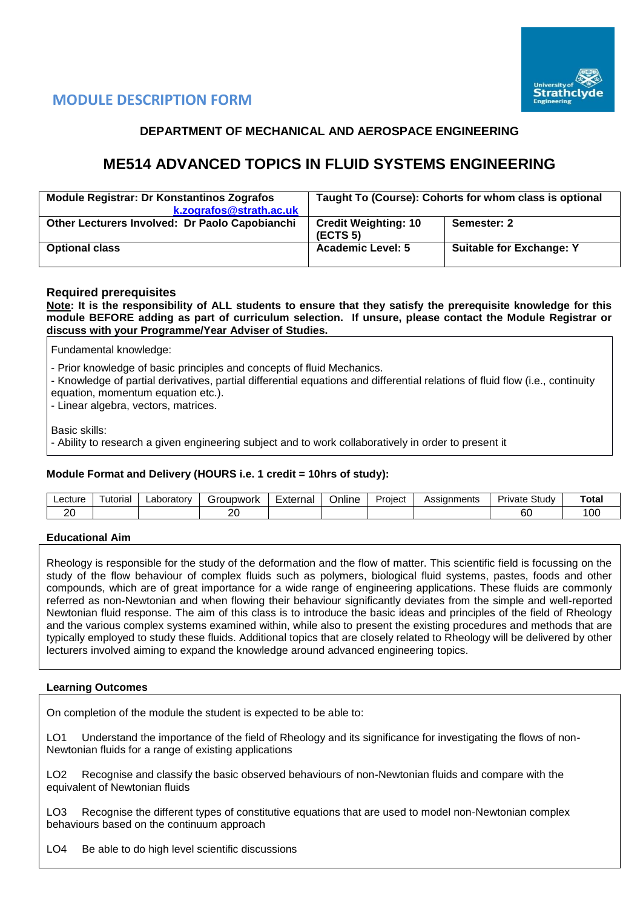

# **MODULE DESCRIPTION FORM**

# **DEPARTMENT OF MECHANICAL AND AEROSPACE ENGINEERING**

# **ME514 ADVANCED TOPICS IN FLUID SYSTEMS ENGINEERING**

| <b>Module Registrar: Dr Konstantinos Zografos</b><br>k.zografos@strath.ac.uk | Taught To (Course): Cohorts for whom class is optional |                                 |  |  |  |
|------------------------------------------------------------------------------|--------------------------------------------------------|---------------------------------|--|--|--|
| Other Lecturers Involved: Dr Paolo Capobianchi                               | <b>Credit Weighting: 10</b><br>(ECTS <sub>5</sub> )    | Semester: 2                     |  |  |  |
| <b>Optional class</b>                                                        | <b>Academic Level: 5</b>                               | <b>Suitable for Exchange: Y</b> |  |  |  |

## **Required prerequisites**

**Note: It is the responsibility of ALL students to ensure that they satisfy the prerequisite knowledge for this module BEFORE adding as part of curriculum selection. If unsure, please contact the Module Registrar or discuss with your Programme/Year Adviser of Studies.** 

Fundamental knowledge:

- Prior knowledge of basic principles and concepts of fluid Mechanics.

- Knowledge of partial derivatives, partial differential equations and differential relations of fluid flow (i.e., continuity

equation, momentum equation etc.).

- Linear algebra, vectors, matrices.

Basic skills:

- Ability to research a given engineering subject and to work collaboratively in order to present it

## **Module Format and Delivery (HOURS i.e. 1 credit = 10hrs of study):**

| ∟ecture | utorial | ∟aborator∨ | iroupwork<br>п., | $\overline{\phantom{0}}$<br>External | Online | Project | Assianments<br>- ככר | - -<br>Study<br>Private | Total        |
|---------|---------|------------|------------------|--------------------------------------|--------|---------|----------------------|-------------------------|--------------|
| ∩∩<br>ᄼ |         |            | oc<br>∠∪         |                                      |        |         |                      | $\sim$<br>οU            | <sub>0</sub> |

## **Educational Aim**

Rheology is responsible for the study of the deformation and the flow of matter. This scientific field is focussing on the study of the flow behaviour of complex fluids such as polymers, biological fluid systems, pastes, foods and other compounds, which are of great importance for a wide range of engineering applications. These fluids are commonly referred as non-Newtonian and when flowing their behaviour significantly deviates from the simple and well-reported Newtonian fluid response. The aim of this class is to introduce the basic ideas and principles of the field of Rheology and the various complex systems examined within, while also to present the existing procedures and methods that are typically employed to study these fluids. Additional topics that are closely related to Rheology will be delivered by other lecturers involved aiming to expand the knowledge around advanced engineering topics.

## **Learning Outcomes**

On completion of the module the student is expected to be able to:

LO1 Understand the importance of the field of Rheology and its significance for investigating the flows of non-Newtonian fluids for a range of existing applications

LO2 Recognise and classify the basic observed behaviours of non-Newtonian fluids and compare with the equivalent of Newtonian fluids

LO3 Recognise the different types of constitutive equations that are used to model non-Newtonian complex behaviours based on the continuum approach

LO4 Be able to do high level scientific discussions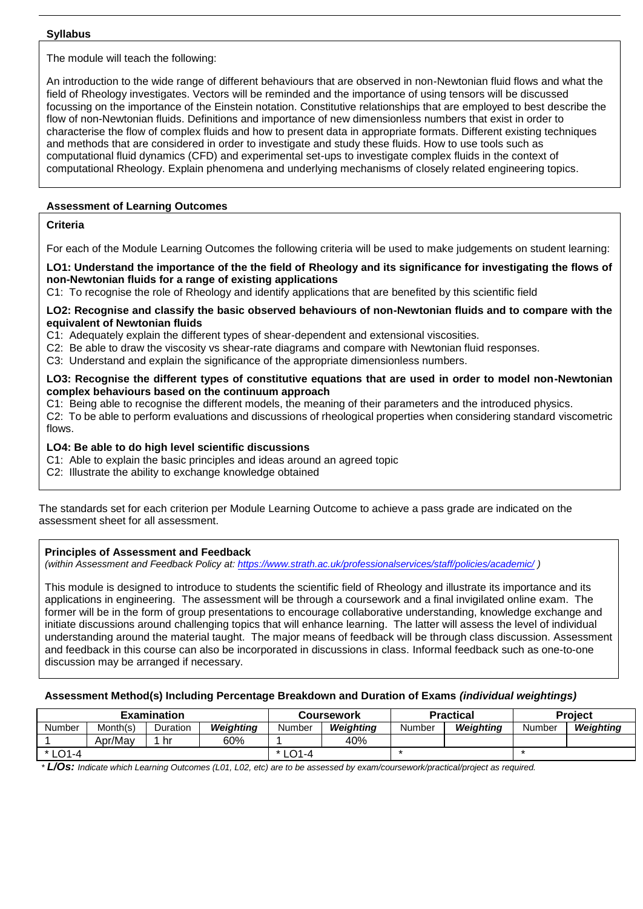#### **Syllabus**

The module will teach the following:

An introduction to the wide range of different behaviours that are observed in non-Newtonian fluid flows and what the field of Rheology investigates. Vectors will be reminded and the importance of using tensors will be discussed focussing on the importance of the Einstein notation. Constitutive relationships that are employed to best describe the flow of non-Newtonian fluids. Definitions and importance of new dimensionless numbers that exist in order to characterise the flow of complex fluids and how to present data in appropriate formats. Different existing techniques and methods that are considered in order to investigate and study these fluids. How to use tools such as computational fluid dynamics (CFD) and experimental set-ups to investigate complex fluids in the context of computational Rheology. Explain phenomena and underlying mechanisms of closely related engineering topics.

# **Assessment of Learning Outcomes**

## **Criteria**

For each of the Module Learning Outcomes the following criteria will be used to make judgements on student learning:

**LO1: Understand the importance of the the field of Rheology and its significance for investigating the flows of non-Newtonian fluids for a range of existing applications**

C1: To recognise the role of Rheology and identify applications that are benefited by this scientific field

#### **LO2: Recognise and classify the basic observed behaviours of non-Newtonian fluids and to compare with the equivalent of Newtonian fluids**

- C1: Adequately explain the different types of shear-dependent and extensional viscosities.
- C2: Be able to draw the viscosity vs shear-rate diagrams and compare with Newtonian fluid responses.
- C3: Understand and explain the significance of the appropriate dimensionless numbers.

#### **LO3: Recognise the different types of constitutive equations that are used in order to model non-Newtonian complex behaviours based on the continuum approach**

C1: Being able to recognise the different models, the meaning of their parameters and the introduced physics.

C2: To be able to perform evaluations and discussions of rheological properties when considering standard viscometric flows.

## **LO4: Be able to do high level scientific discussions**

- C1: Able to explain the basic principles and ideas around an agreed topic
- C2: Illustrate the ability to exchange knowledge obtained

The standards set for each criterion per Module Learning Outcome to achieve a pass grade are indicated on the assessment sheet for all assessment.

## **Principles of Assessment and Feedback**

*(within Assessment and Feedback Policy at: <https://www.strath.ac.uk/professionalservices/staff/policies/academic/> )*

This module is designed to introduce to students the scientific field of Rheology and illustrate its importance and its applications in engineering. The assessment will be through a coursework and a final invigilated online exam. The former will be in the form of group presentations to encourage collaborative understanding, knowledge exchange and initiate discussions around challenging topics that will enhance learning. The latter will assess the level of individual understanding around the material taught. The major means of feedback will be through class discussion. Assessment and feedback in this course can also be incorporated in discussions in class. Informal feedback such as one-to-one discussion may be arranged if necessary.

## **Assessment Method(s) Including Percentage Breakdown and Duration of Exams** *(individual weightings)*

|                                      |          | Examination |           | <b>Coursework</b> |           |        | <b>Practical</b> | <b>Project</b> |           |  |
|--------------------------------------|----------|-------------|-----------|-------------------|-----------|--------|------------------|----------------|-----------|--|
| Number                               | Month(s) | Duration    | Weighting | Number            | Weiahtina | Number | Weiahtina        | Number         | Weighting |  |
|                                      | Apr/May  | hr          | 60%       |                   | 40%       |        |                  |                |           |  |
| $\bigcap_{ }^{ }$ 1 - 4<br>$\star$ 1 |          |             |           | $*$ LO1-4         |           |        |                  |                |           |  |

*\* L/Os: Indicate which Learning Outcomes (L01, L02, etc) are to be assessed by exam/coursework/practical/project as required.*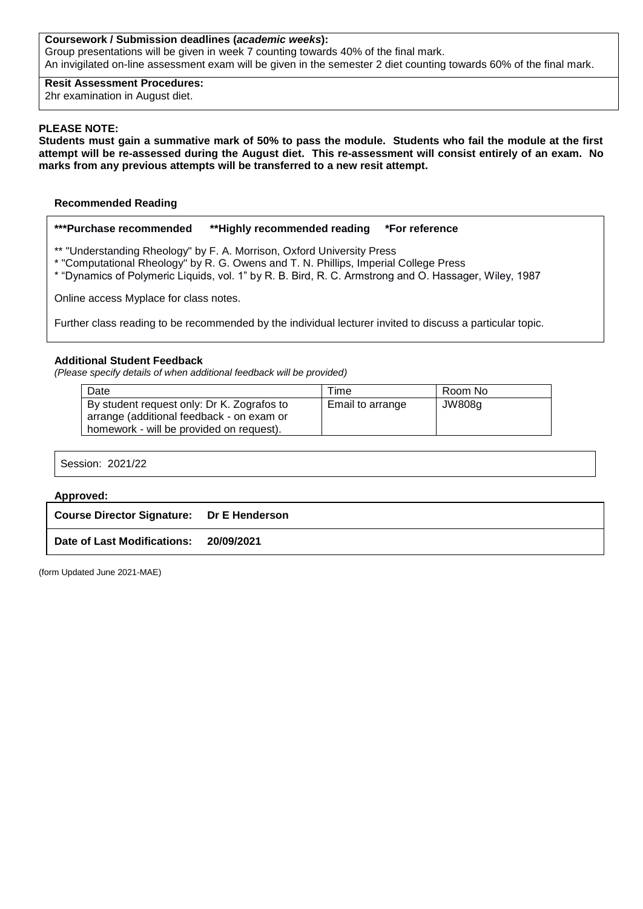#### **Coursework / Submission deadlines (***academic weeks***):**

Group presentations will be given in week 7 counting towards 40% of the final mark. An invigilated on-line assessment exam will be given in the semester 2 diet counting towards 60% of the final mark.

#### **Resit Assessment Procedures:**

2hr examination in August diet.

#### **PLEASE NOTE:**

**Students must gain a summative mark of 50% to pass the module. Students who fail the module at the first attempt will be re-assessed during the August diet. This re-assessment will consist entirely of an exam. No marks from any previous attempts will be transferred to a new resit attempt.**

#### **Recommended Reading**

#### **\*\*\*Purchase recommended \*\*Highly recommended reading \*For reference**

\*\* "Understanding Rheology" by F. A. Morrison, Oxford University Press

- \* "Computational Rheology" by R. G. Owens and T. N. Phillips, Imperial College Press
- \* "Dynamics of Polymeric Liquids, vol. 1" by R. B. Bird, R. C. Armstrong and O. Hassager, Wiley, 1987

Online access Myplace for class notes.

Further class reading to be recommended by the individual lecturer invited to discuss a particular topic.

#### **Additional Student Feedback**

*(Please specify details of when additional feedback will be provided)*

| Date                                       | <b>Time</b>      | Room No |
|--------------------------------------------|------------------|---------|
| By student request only: Dr K. Zografos to | Email to arrange | JW808g  |
| arrange (additional feedback - on exam or  |                  |         |
| homework - will be provided on request).   |                  |         |

| Session: 2021/22 |
|------------------|
| <b>Approved:</b> |

| Course Director Signature: Dr E Henderson |  |
|-------------------------------------------|--|
| Date of Last Modifications: 20/09/2021    |  |

(form Updated June 2021-MAE)